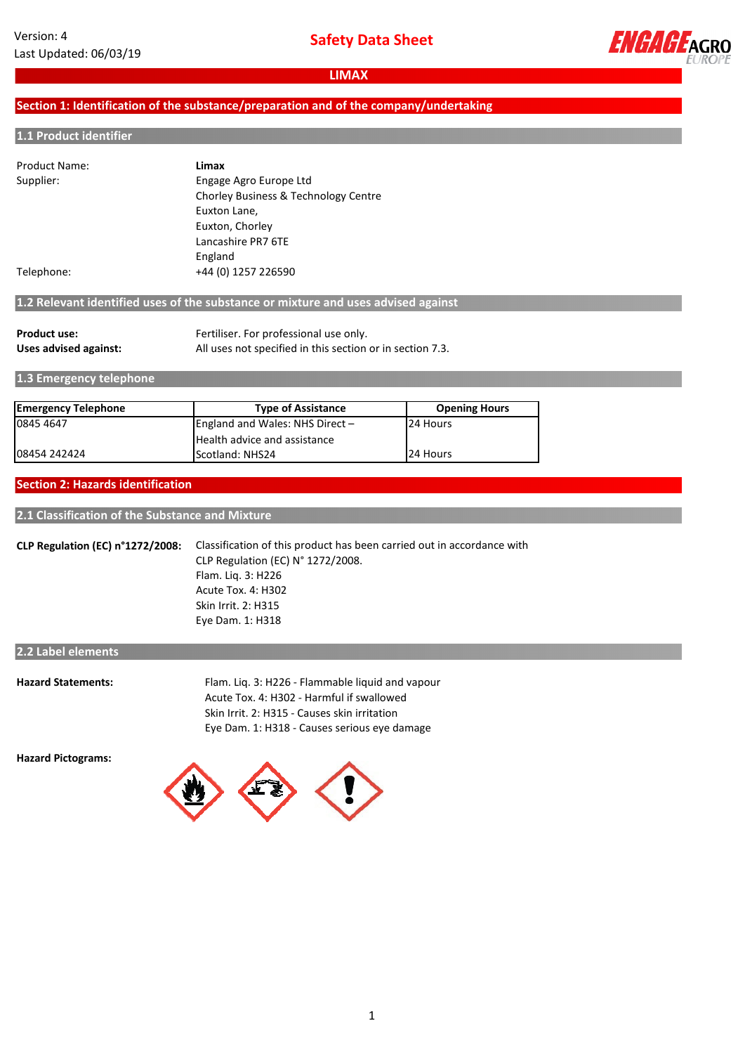**Safety Data Sheet**



**LIMAX**

# **Section 1: Identification of the substance/preparation and of the company/undertaking**

#### **1.1 Product identifier**

| Product Name: | Limax                                |
|---------------|--------------------------------------|
| Supplier:     | Engage Agro Europe Ltd               |
|               | Chorley Business & Technology Centre |
|               | Euxton Lane,                         |
|               | Euxton, Chorley                      |
|               | Lancashire PR7 6TE                   |
|               | England                              |
| Telephone:    | +44 (0) 1257 226590                  |

# **1.2 Relevant identified uses of the substance or mixture and uses advised against**

| <b>Product use:</b>   | Fertiliser. For professional use only.                    |
|-----------------------|-----------------------------------------------------------|
| Uses advised against: | All uses not specified in this section or in section 7.3. |

**1.3 Emergency telephone**

| <b>Emergency Telephone</b> | <b>Type of Assistance</b>       | <b>Opening Hours</b> |
|----------------------------|---------------------------------|----------------------|
| 0845 4647                  | England and Wales: NHS Direct - | 24 Hours             |
|                            | Health advice and assistance    |                      |
| 08454 242424               | Scotland: NHS24                 | 24 Hours             |

#### **Section 2: Hazards identification**

#### **2.1 Classification of the Substance and Mixture**

**CLP Regulation (EC) n°1272/2008:** Classification of this product has been carried out in accordance with CLP Regulation (EC) N° 1272/2008. Flam. Liq. 3: H226 Acute Tox. 4: H302 Skin Irrit. 2: H315 Eye Dam. 1: H318

# **2.2 Label elements**

| <b>Hazard Statements:</b> | Flam. Lig. 3: H226 - Flammable liguid and vapour |
|---------------------------|--------------------------------------------------|
|                           | Acute Tox. 4: H302 - Harmful if swallowed        |
|                           | Skin Irrit. 2: H315 - Causes skin irritation     |
|                           | Eye Dam. 1: H318 - Causes serious eve damage     |
|                           |                                                  |

**Hazard Pictograms:**

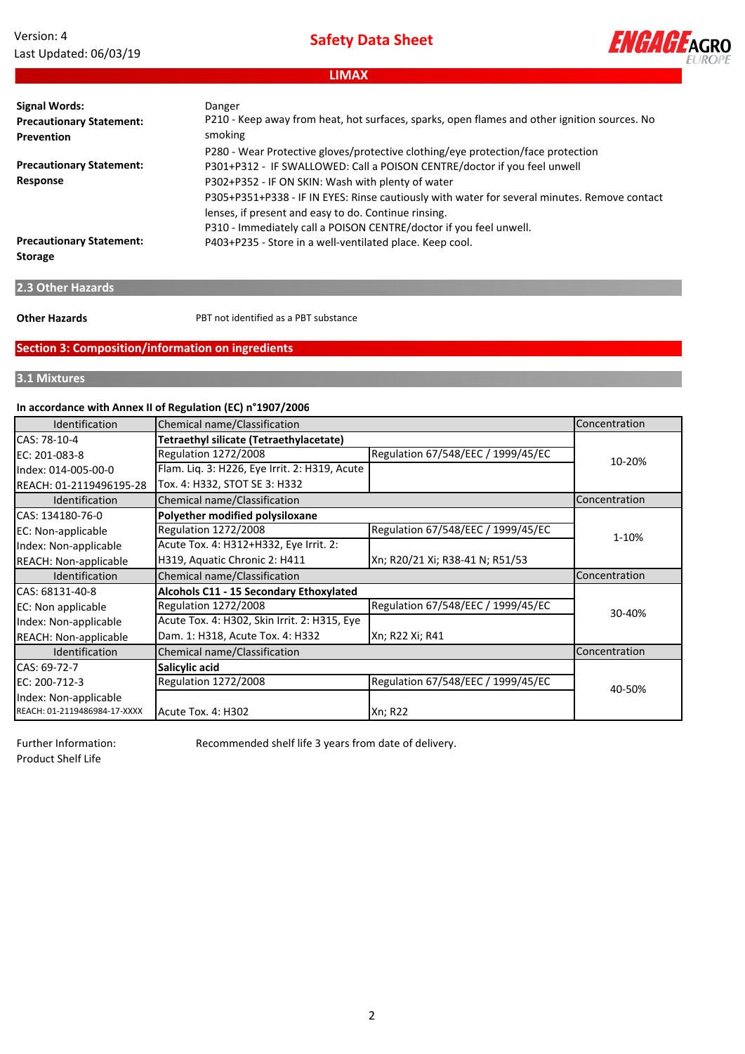# **Safety Data Sheet**

**ENGAGE**AGRO

# **LIMAX**

| <b>Signal Words:</b><br><b>Precautionary Statement:</b> | Danger<br>P210 - Keep away from heat, hot surfaces, sparks, open flames and other ignition sources. No                                               |
|---------------------------------------------------------|------------------------------------------------------------------------------------------------------------------------------------------------------|
| Prevention                                              | smoking                                                                                                                                              |
|                                                         | P280 - Wear Protective gloves/protective clothing/eye protection/face protection                                                                     |
| <b>Precautionary Statement:</b>                         | P301+P312 - IF SWALLOWED: Call a POISON CENTRE/doctor if you feel unwell                                                                             |
| Response                                                | P302+P352 - IF ON SKIN: Wash with plenty of water                                                                                                    |
|                                                         | P305+P351+P338 - IF IN EYES: Rinse cautiously with water for several minutes. Remove contact<br>lenses, if present and easy to do. Continue rinsing. |
|                                                         | P310 - Immediately call a POISON CENTRE/doctor if you feel unwell.                                                                                   |
| <b>Precautionary Statement:</b>                         |                                                                                                                                                      |
| <b>Storage</b>                                          | P403+P235 - Store in a well-ventilated place. Keep cool.                                                                                             |

# **2.3 Other Hazards**

**Other Hazards**

PBT not identified as a PBT substance

# **Section 3: Composition/information on ingredients**

# **3.1 Mixtures**

# **In accordance with Annex II of Regulation (EC) n°1907/2006**

| Identification               | Chemical name/Classification                  |                                    | Concentration |
|------------------------------|-----------------------------------------------|------------------------------------|---------------|
| CAS: 78-10-4                 | Tetraethyl silicate (Tetraethylacetate)       |                                    |               |
| EC: 201-083-8                | <b>Regulation 1272/2008</b>                   | Regulation 67/548/EEC / 1999/45/EC | 10-20%        |
| Index: 014-005-00-0          | Flam. Liq. 3: H226, Eye Irrit. 2: H319, Acute |                                    |               |
| REACH: 01-2119496195-28      | Tox. 4: H332, STOT SE 3: H332                 |                                    |               |
| Identification               | Chemical name/Classification                  |                                    | Concentration |
| CAS: 134180-76-0             | Polyether modified polysiloxane               |                                    |               |
| EC: Non-applicable           | <b>Regulation 1272/2008</b>                   | Regulation 67/548/EEC / 1999/45/EC | 1-10%         |
| Index: Non-applicable        | Acute Tox. 4: H312+H332, Eye Irrit. 2:        |                                    |               |
| <b>REACH: Non-applicable</b> | H319, Aquatic Chronic 2: H411                 | Xn; R20/21 Xi; R38-41 N; R51/53    |               |
| <b>Identification</b>        | Chemical name/Classification                  |                                    | Concentration |
| CAS: 68131-40-8              | Alcohols C11 - 15 Secondary Ethoxylated       |                                    |               |
| <b>EC:</b> Non applicable    | <b>Regulation 1272/2008</b>                   | Regulation 67/548/EEC / 1999/45/EC | 30-40%        |
| Index: Non-applicable        | Acute Tox. 4: H302, Skin Irrit. 2: H315, Eye  |                                    |               |
| <b>REACH: Non-applicable</b> | Dam. 1: H318, Acute Tox. 4: H332              | Xn; R22 Xi; R41                    |               |
| Identification               | Chemical name/Classification                  |                                    | Concentration |
| CAS: 69-72-7                 | Salicylic acid                                |                                    |               |
| EC: 200-712-3                | Regulation 1272/2008                          | Regulation 67/548/EEC / 1999/45/EC | 40-50%        |
| Index: Non-applicable        |                                               |                                    |               |
| REACH: 01-2119486984-17-XXXX | Acute Tox. 4: H302                            | Xn; R22                            |               |

Further Information: Product Shelf Life

Recommended shelf life 3 years from date of delivery.

2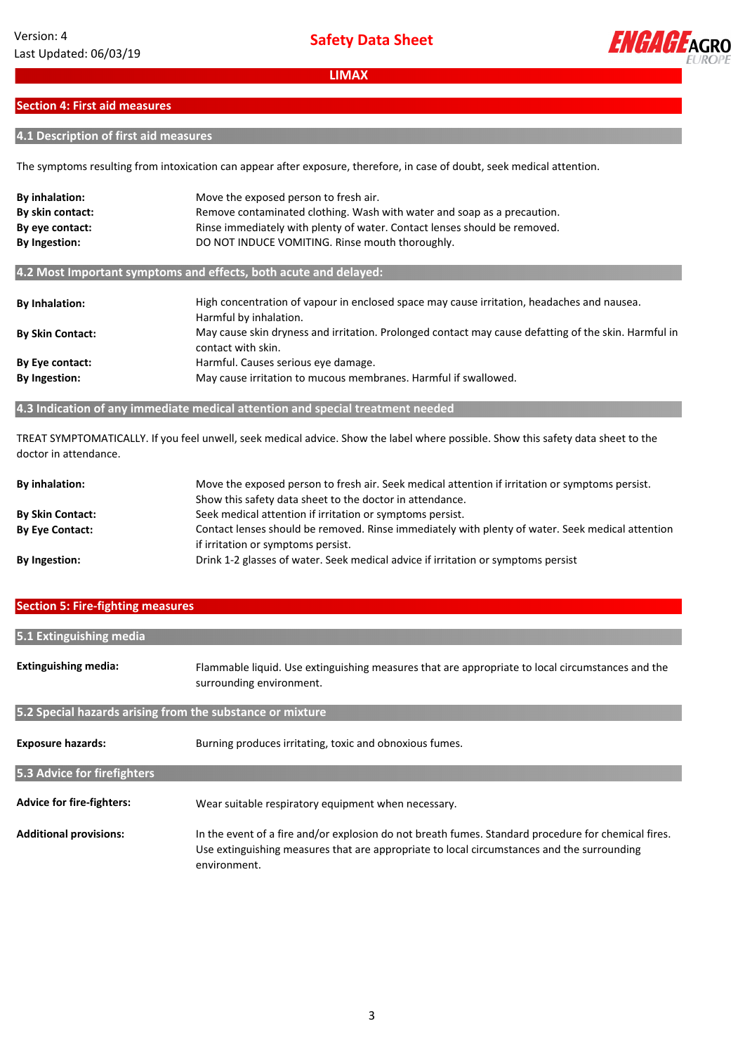

### **Section 4: First aid measures**

# **4.1 Description of first aid measures**

The symptoms resulting from intoxication can appear after exposure, therefore, in case of doubt, seek medical attention.

| By inhalation:<br>By skin contact:<br>By eye contact:            | Move the exposed person to fresh air.<br>Remove contaminated clothing. Wash with water and soap as a precaution.<br>Rinse immediately with plenty of water. Contact lenses should be removed. |  |  |
|------------------------------------------------------------------|-----------------------------------------------------------------------------------------------------------------------------------------------------------------------------------------------|--|--|
| By Ingestion:                                                    | DO NOT INDUCE VOMITING. Rinse mouth thoroughly.                                                                                                                                               |  |  |
| 4.2 Most Important symptoms and effects, both acute and delayed: |                                                                                                                                                                                               |  |  |
| <b>By Inhalation:</b>                                            | High concentration of vapour in enclosed space may cause irritation, headaches and nausea.<br>Harmful by inhalation.                                                                          |  |  |
| <b>By Skin Contact:</b>                                          | May cause skin dryness and irritation. Prolonged contact may cause defatting of the skin. Harmful in<br>contact with skin.                                                                    |  |  |
| By Eye contact:                                                  | Harmful. Causes serious eye damage.                                                                                                                                                           |  |  |
| By Ingestion:                                                    | May cause irritation to mucous membranes. Harmful if swallowed.                                                                                                                               |  |  |

# **4.3 Indication of any immediate medical attention and special treatment needed**

TREAT SYMPTOMATICALLY. If you feel unwell, seek medical advice. Show the label where possible. Show this safety data sheet to the doctor in attendance.

| <b>By inhalation:</b>   | Move the exposed person to fresh air. Seek medical attention if irritation or symptoms persist.  |
|-------------------------|--------------------------------------------------------------------------------------------------|
|                         | Show this safety data sheet to the doctor in attendance.                                         |
| <b>By Skin Contact:</b> | Seek medical attention if irritation or symptoms persist.                                        |
| <b>By Eye Contact:</b>  | Contact lenses should be removed. Rinse immediately with plenty of water. Seek medical attention |
|                         | if irritation or symptoms persist.                                                               |
| <b>By Ingestion:</b>    | Drink 1-2 glasses of water. Seek medical advice if irritation or symptoms persist                |

### **Section 5: Fire‐fighting measures**

| 5.1 Extinguishing media                                   |                                                                                                                                                                                                                   |  |
|-----------------------------------------------------------|-------------------------------------------------------------------------------------------------------------------------------------------------------------------------------------------------------------------|--|
| <b>Extinguishing media:</b>                               | Flammable liquid. Use extinguishing measures that are appropriate to local circumstances and the<br>surrounding environment.                                                                                      |  |
| 5.2 Special hazards arising from the substance or mixture |                                                                                                                                                                                                                   |  |
| <b>Exposure hazards:</b>                                  | Burning produces irritating, toxic and obnoxious fumes.                                                                                                                                                           |  |
| 5.3 Advice for firefighters                               |                                                                                                                                                                                                                   |  |
| <b>Advice for fire-fighters:</b>                          | Wear suitable respiratory equipment when necessary.                                                                                                                                                               |  |
| <b>Additional provisions:</b>                             | In the event of a fire and/or explosion do not breath fumes. Standard procedure for chemical fires.<br>Use extinguishing measures that are appropriate to local circumstances and the surrounding<br>environment. |  |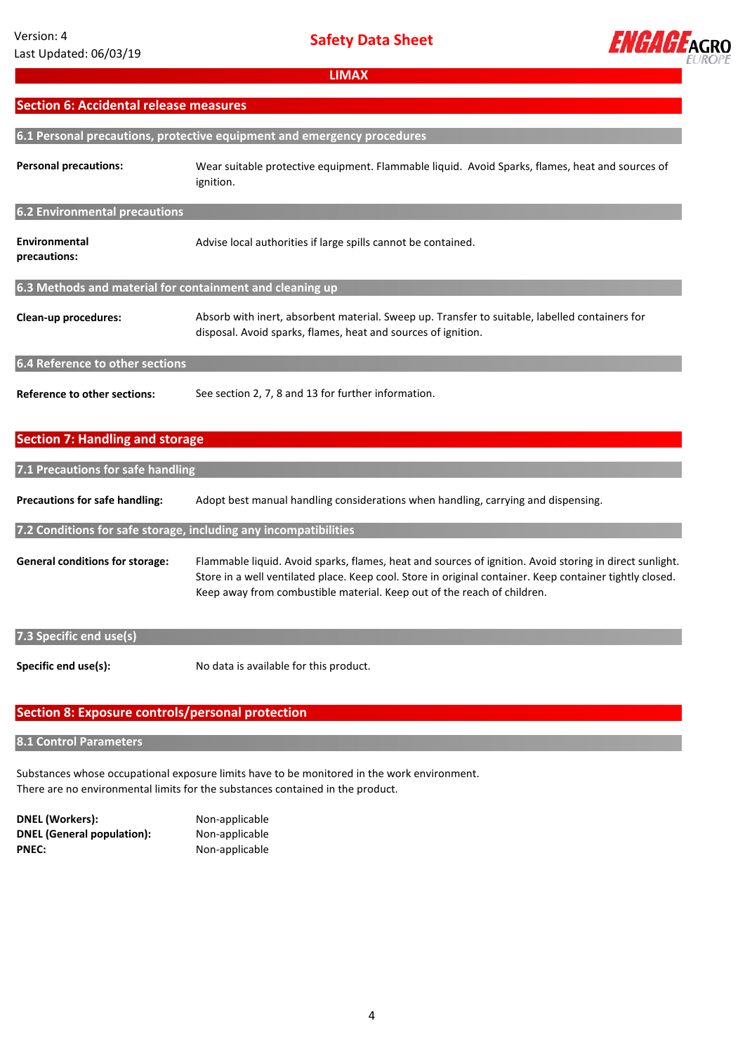

# **Section 6: Accidental release measures**

| 6.1 Personal precautions, protective equipment and emergency procedures |                                                                                                                                                                 |  |
|-------------------------------------------------------------------------|-----------------------------------------------------------------------------------------------------------------------------------------------------------------|--|
| <b>Personal precautions:</b>                                            | Wear suitable protective equipment. Flammable liquid. Avoid Sparks, flames, heat and sources of<br>ignition.                                                    |  |
| <b>6.2 Environmental precautions</b>                                    |                                                                                                                                                                 |  |
| Environmental<br>precautions:                                           | Advise local authorities if large spills cannot be contained.                                                                                                   |  |
| 6.3 Methods and material for containment and cleaning up                |                                                                                                                                                                 |  |
| Clean-up procedures:                                                    | Absorb with inert, absorbent material. Sweep up. Transfer to suitable, labelled containers for<br>disposal. Avoid sparks, flames, heat and sources of ignition. |  |
| 6.4 Reference to other sections                                         |                                                                                                                                                                 |  |
| <b>Reference to other sections:</b>                                     | See section 2, 7, 8 and 13 for further information.                                                                                                             |  |
| <b>Section 7: Handling and storage</b>                                  |                                                                                                                                                                 |  |
| 7.1 Precautions for safe handling                                       |                                                                                                                                                                 |  |

**Precautions for safe handling:** Adopt best manual handling considerations when handling, carrying and dispensing.

**7.2 Conditions for safe storage, including any incompatibilities**

**General conditions for storage:**  Flammable liquid. Avoid sparks, flames, heat and sources of ignition. Avoid storing in direct sunlight. Store in a well ventilated place. Keep cool. Store in original container. Keep container tightly closed. Keep away from combustible material. Keep out of the reach of children.

# **7.3 Specific end use(s)**

**Specific end use(s):**

No data is available for this product.

# **Section 8: Exposure controls/personal protection**

#### **8.1 Control Parameters**

Substances whose occupational exposure limits have to be monitored in the work environment. There are no environmental limits for the substances contained in the product.

| DNEL (Workers):            | Noi |
|----------------------------|-----|
| DNEL (General population): | Noi |
| PNEC:                      | Noi |

**DNEL (Workers):** Non‐applicable **DNEL (General population):** Non‐applicable n-applicable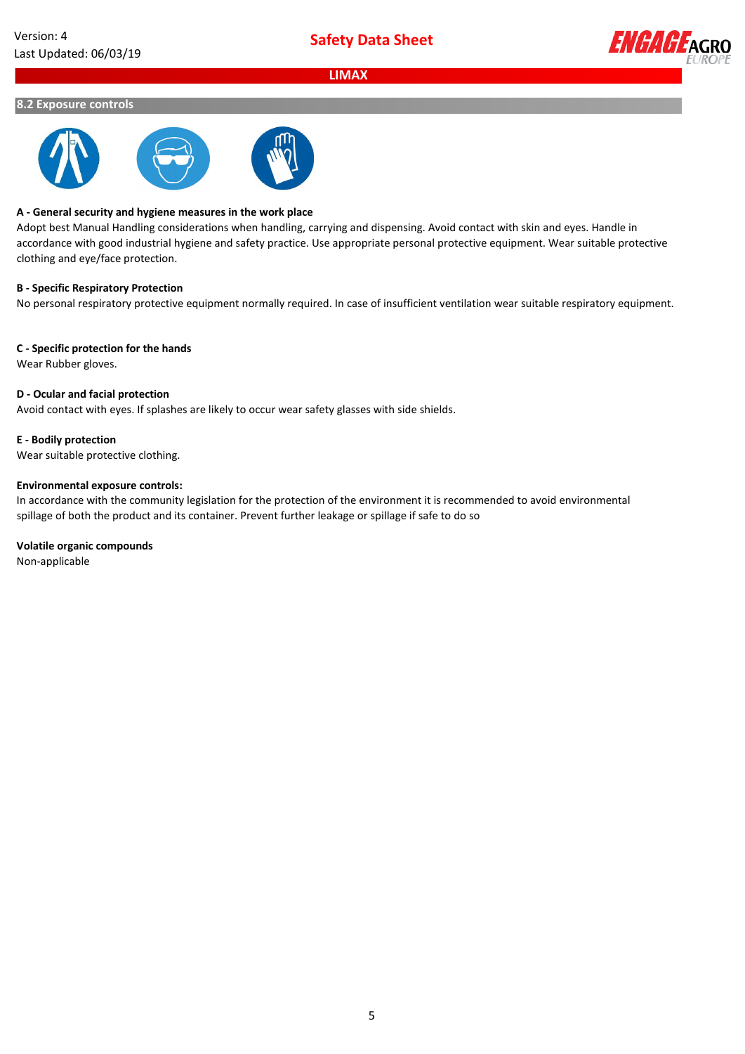

#### **8.2 Exposure controls**



#### **A ‐ General security and hygiene measures in the work place**

Adopt best Manual Handling considerations when handling, carrying and dispensing. Avoid contact with skin and eyes. Handle in accordance with good industrial hygiene and safety practice. Use appropriate personal protective equipment. Wear suitable protective clothing and eye/face protection.

#### **B ‐ Specific Respiratory Protection**

No personal respiratory protective equipment normally required. In case of insufficient ventilation wear suitable respiratory equipment.

#### **C ‐ Specific protection for the hands**

Wear Rubber gloves.

### **D ‐ Ocular and facial protection**

Avoid contact with eyes. If splashes are likely to occur wear safety glasses with side shields.

#### **E ‐ Bodily protection**

Wear suitable protective clothing.

#### **Environmental exposure controls:**

In accordance with the community legislation for the protection of the environment it is recommended to avoid environmental spillage of both the product and its container. Prevent further leakage or spillage if safe to do so

#### **Volatile organic compounds**

Non‐applicable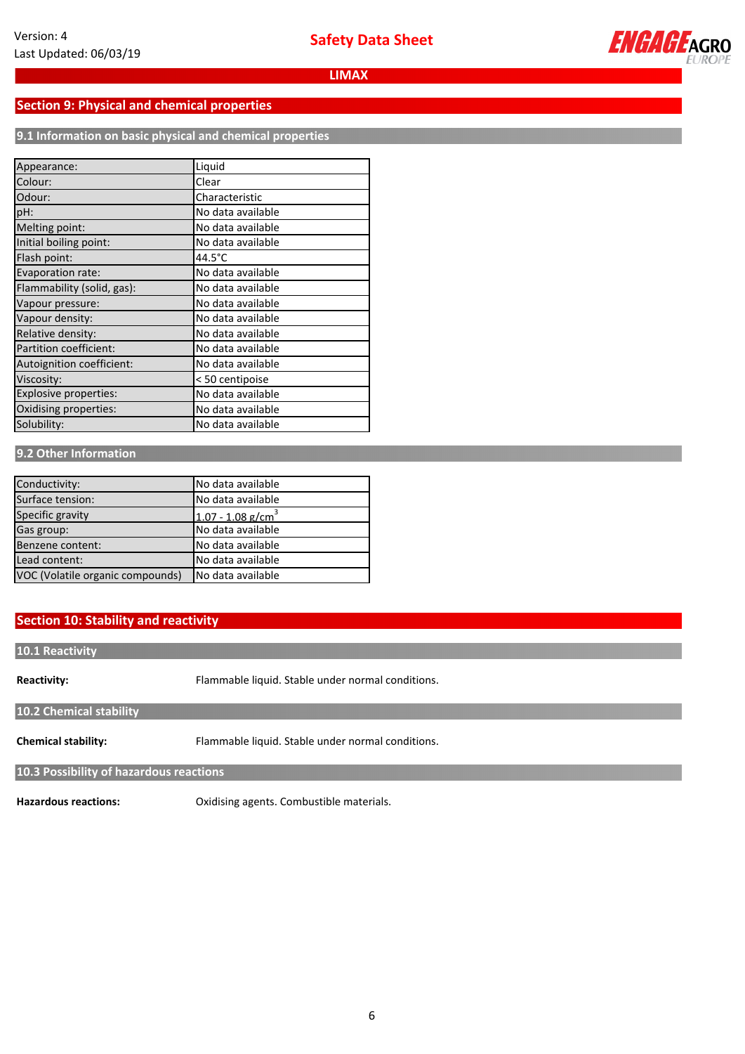

# **Section 9: Physical and chemical properties**

**9.1 Information on basic physical and chemical properties**

| Appearance:                | Liquid            |
|----------------------------|-------------------|
| Colour:                    | Clear             |
| Odour:                     | Characteristic    |
| pH:                        | No data available |
| Melting point:             | No data available |
| Initial boiling point:     | No data available |
| Flash point:               | 44.5°C            |
| Evaporation rate:          | No data available |
| Flammability (solid, gas): | No data available |
| Vapour pressure:           | No data available |
| Vapour density:            | No data available |
| Relative density:          | No data available |
| Partition coefficient:     | No data available |
| Autoignition coefficient:  | No data available |
| Viscosity:                 | < 50 centipoise   |
| Explosive properties:      | No data available |
| Oxidising properties:      | No data available |
| Solubility:                | No data available |

#### **9.2 Other Information**

| Conductivity:                    | No data available               |
|----------------------------------|---------------------------------|
| Surface tension:                 | No data available               |
| Specific gravity                 | $1.07 - 1.08$ g/cm <sup>3</sup> |
| Gas group:                       | No data available               |
| Benzene content:                 | No data available               |
| Lead content:                    | No data available               |
| VOC (Volatile organic compounds) | No data available               |

# **Section 10: Stability and reactivity**

**10.1 Reactivity**

**Reactivity:**

Flammable liquid. Stable under normal conditions.

**10.2 Chemical stability**

**Chemical stability:** Flammable liquid. Stable under normal conditions.

**10.3 Possibility of hazardous reactions**

**Hazardous reactions:** Oxidising agents. Combustible materials.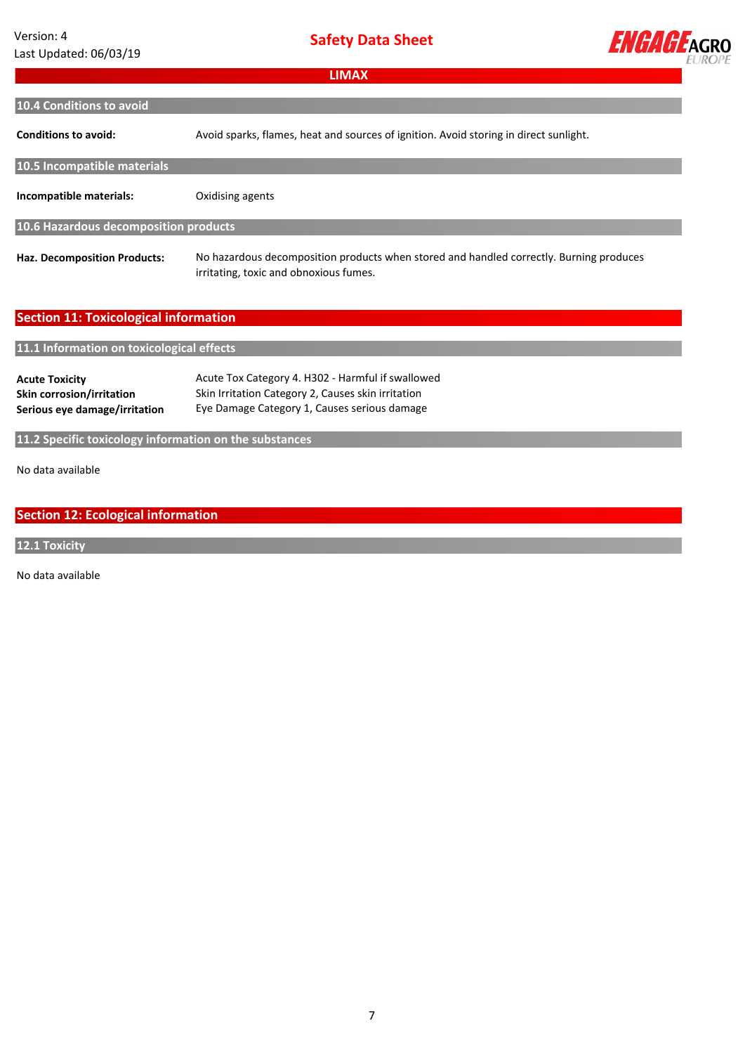# Version: 4 Last Updated: 06/03/19

**Safety Data Sheet**



| <b>LIMAX</b>                                                                        |                                                                                                                                                         |  |  |  |
|-------------------------------------------------------------------------------------|---------------------------------------------------------------------------------------------------------------------------------------------------------|--|--|--|
|                                                                                     |                                                                                                                                                         |  |  |  |
| 10.4 Conditions to avoid                                                            |                                                                                                                                                         |  |  |  |
| <b>Conditions to avoid:</b>                                                         | Avoid sparks, flames, heat and sources of ignition. Avoid storing in direct sunlight.                                                                   |  |  |  |
| 10.5 Incompatible materials                                                         |                                                                                                                                                         |  |  |  |
| Incompatible materials:                                                             | Oxidising agents                                                                                                                                        |  |  |  |
| 10.6 Hazardous decomposition products                                               |                                                                                                                                                         |  |  |  |
| <b>Haz. Decomposition Products:</b>                                                 | No hazardous decomposition products when stored and handled correctly. Burning produces<br>irritating, toxic and obnoxious fumes.                       |  |  |  |
| <b>Section 11: Toxicological information</b>                                        |                                                                                                                                                         |  |  |  |
| 11.1 Information on toxicological effects                                           |                                                                                                                                                         |  |  |  |
| <b>Acute Toxicity</b><br>Skin corrosion/irritation<br>Serious eye damage/irritation | Acute Tox Category 4. H302 - Harmful if swallowed<br>Skin Irritation Category 2, Causes skin irritation<br>Eye Damage Category 1, Causes serious damage |  |  |  |
| 11.2 Specific toxicology information on the substances                              |                                                                                                                                                         |  |  |  |

No data available **available**

# **Section 12: Ecological information**

**12.1 Toxicity**

No data available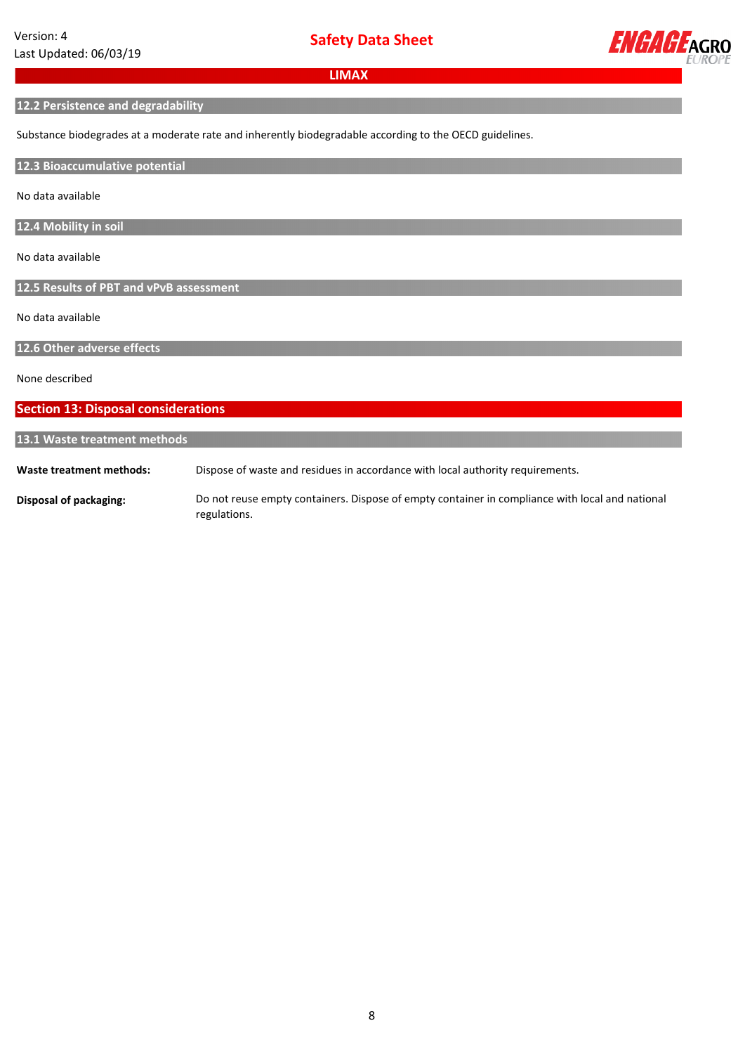

# **12.2 Persistence and degradability**

Substance biodegrades at a moderate rate and inherently biodegradable according to the OECD guidelines.

#### **12.3 Bioaccumulative potential**

No data available

**12.4 Mobility in soil**

No data available

**12.5 Results of PBT and vPvB assessment**

No data available

**12.6 Other adverse effects**

None described

#### **Section 13: Disposal considerations**

## **13.1 Waste treatment methods**

**Waste treatment methods:** Dispose of waste and residues in accordance with local authority requirements.

**Disposal of packaging:** Do not reuse empty containers. Dispose of empty container in compliance with local and national regulations.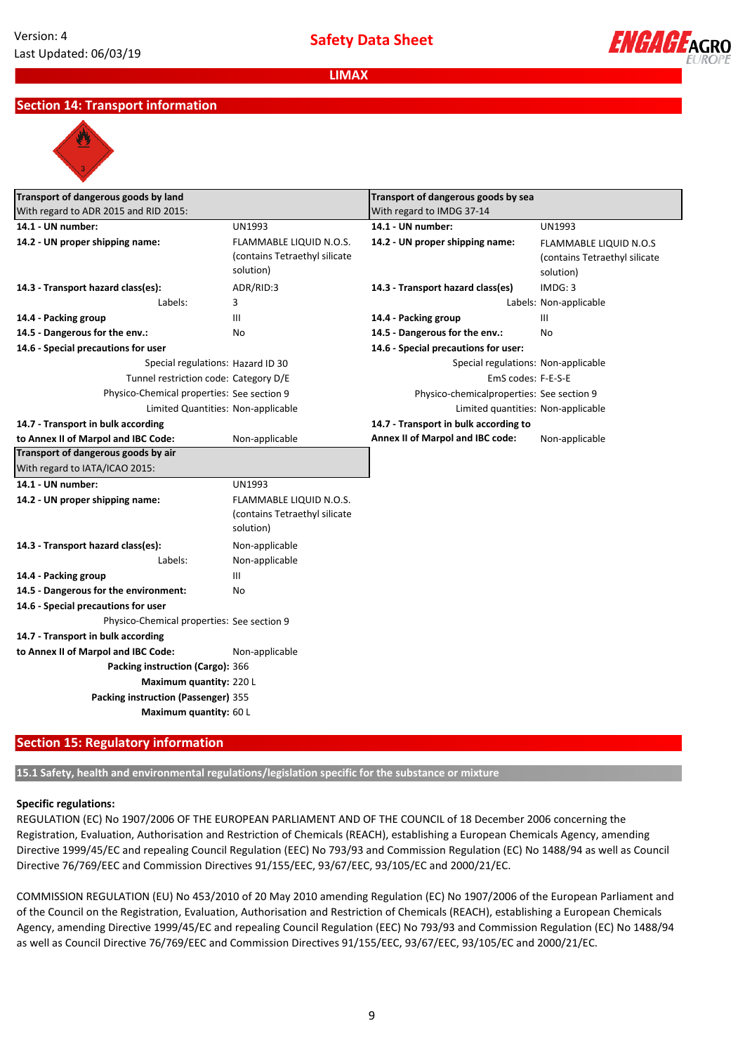

# **Section 14: Transport information**



| Transport of dangerous goods by land<br>With regard to ADR 2015 and RID 2015: |                                                                              | Transport of dangerous goods by sea       |                                                                             |
|-------------------------------------------------------------------------------|------------------------------------------------------------------------------|-------------------------------------------|-----------------------------------------------------------------------------|
|                                                                               |                                                                              | With regard to IMDG 37-14                 |                                                                             |
| 14.1 - UN number:                                                             | <b>UN1993</b>                                                                | 14.1 - UN number:                         | UN1993                                                                      |
| 14.2 - UN proper shipping name:                                               | <b>FLAMMABLE LIQUID N.O.S.</b><br>(contains Tetraethyl silicate<br>solution) | 14.2 - UN proper shipping name:           | <b>FLAMMABLE LIQUID N.O.S</b><br>(contains Tetraethyl silicate<br>solution) |
| 14.3 - Transport hazard class(es):                                            | ADR/RID:3                                                                    | 14.3 - Transport hazard class(es)         | IMDG: 3                                                                     |
| Labels:                                                                       | 3                                                                            |                                           | Labels: Non-applicable                                                      |
| 14.4 - Packing group                                                          | Ш                                                                            | 14.4 - Packing group                      | Ш                                                                           |
| 14.5 - Dangerous for the env.:                                                | No                                                                           | 14.5 - Dangerous for the env.:            | No                                                                          |
| 14.6 - Special precautions for user                                           |                                                                              | 14.6 - Special precautions for user:      |                                                                             |
| Special regulations: Hazard ID 30                                             |                                                                              | Special regulations: Non-applicable       |                                                                             |
| Tunnel restriction code: Category D/E                                         |                                                                              | EmS codes: F-E-S-E                        |                                                                             |
| Physico-Chemical properties: See section 9                                    |                                                                              | Physico-chemicalproperties: See section 9 |                                                                             |
| Limited Quantities: Non-applicable                                            |                                                                              | Limited quantities: Non-applicable        |                                                                             |
| 14.7 - Transport in bulk according                                            |                                                                              | 14.7 - Transport in bulk according to     |                                                                             |
| to Annex II of Marpol and IBC Code:                                           | Non-applicable                                                               | Annex II of Marpol and IBC code:          | Non-applicable                                                              |
| Transport of dangerous goods by air                                           |                                                                              |                                           |                                                                             |
| With regard to IATA/ICAO 2015:                                                |                                                                              |                                           |                                                                             |
| 14.1 - UN number:                                                             | <b>UN1993</b>                                                                |                                           |                                                                             |
| 14.2 - UN proper shipping name:                                               | FLAMMABLE LIQUID N.O.S.<br>(contains Tetraethyl silicate<br>solution)        |                                           |                                                                             |
| 14.3 - Transport hazard class(es):                                            | Non-applicable                                                               |                                           |                                                                             |
| Labels:                                                                       | Non-applicable                                                               |                                           |                                                                             |
| 14.4 - Packing group                                                          | Ш                                                                            |                                           |                                                                             |
| 14.5 - Dangerous for the environment:                                         | No                                                                           |                                           |                                                                             |
| 14.6 - Special precautions for user                                           |                                                                              |                                           |                                                                             |
| Physico-Chemical properties: See section 9                                    |                                                                              |                                           |                                                                             |
| 14.7 - Transport in bulk according                                            |                                                                              |                                           |                                                                             |
| to Annex II of Marpol and IBC Code:                                           | Non-applicable                                                               |                                           |                                                                             |
| Packing instruction (Cargo): 366                                              |                                                                              |                                           |                                                                             |
| Maximum quantity: 220 L                                                       |                                                                              |                                           |                                                                             |
| Packing instruction (Passenger) 355                                           |                                                                              |                                           |                                                                             |
| Maximum quantity: 60 L                                                        |                                                                              |                                           |                                                                             |

# **Section 15: Regulatory information**

**15.1 Safety, health and environmental regulations/legislation specific for the substance or mixture**

#### **Specific regulations:**

REGULATION (EC) No 1907/2006 OF THE EUROPEAN PARLIAMENT AND OF THE COUNCIL of 18 December 2006 concerning the Registration, Evaluation, Authorisation and Restriction of Chemicals (REACH), establishing a European Chemicals Agency, amending Directive 1999/45/EC and repealing Council Regulation (EEC) No 793/93 and Commission Regulation (EC) No 1488/94 as well as Council Directive 76/769/EEC and Commission Directives 91/155/EEC, 93/67/EEC, 93/105/EC and 2000/21/EC.

COMMISSION REGULATION (EU) No 453/2010 of 20 May 2010 amending Regulation (EC) No 1907/2006 of the European Parliament and of the Council on the Registration, Evaluation, Authorisation and Restriction of Chemicals (REACH), establishing a European Chemicals Agency, amending Directive 1999/45/EC and repealing Council Regulation (EEC) No 793/93 and Commission Regulation (EC) No 1488/94 as well as Council Directive 76/769/EEC and Commission Directives 91/155/EEC, 93/67/EEC, 93/105/EC and 2000/21/EC.